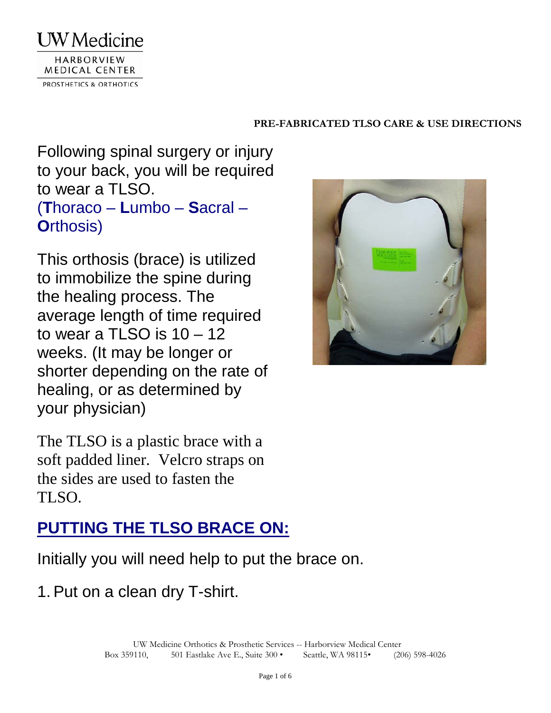

Following spinal surgery or injury to your back, you will be required to wear a TLSO. (**T**horaco – **L**umbo – **S**acral – **O**rthosis)

This orthosis (brace) is utilized to immobilize the spine during the healing process. The average length of time required to wear a TLSO is  $10 - 12$ weeks. (It may be longer or shorter depending on the rate of healing, or as determined by your physician)

The TLSO is a plastic brace with a soft padded liner. Velcro straps on the sides are used to fasten the TLSO.

# **PUTTING THE TLSO BRACE ON:**

Initially you will need help to put the brace on.

1. Put on a clean dry T-shirt.

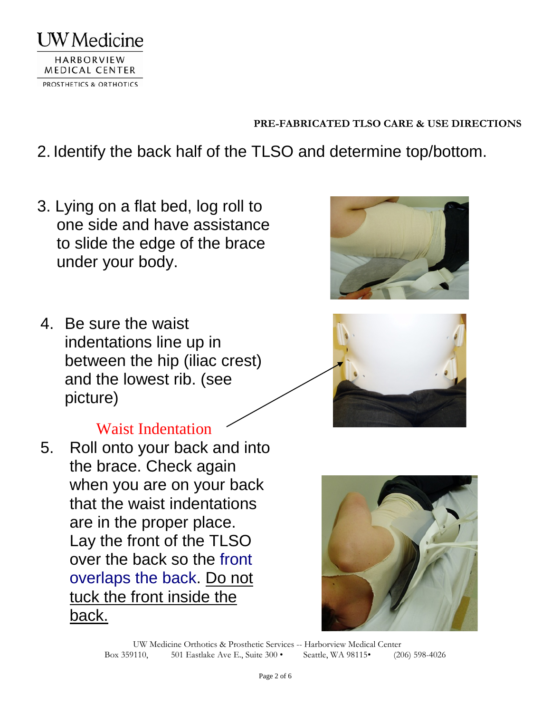

- 2. Identify the back half of the TLSO and determine top/bottom.
- 3. Lying on a flat bed, log roll to one side and have assistance to slide the edge of the brace under your body.
- 4. Be sure the waist indentations line up in between the hip (iliac crest) and the lowest rib. (see picture)



5. Roll onto your back and into the brace. Check again when you are on your back that the waist indentations are in the proper place. Lay the front of the TLSO over the back so the front overlaps the back. Do not tuck the front inside the back.





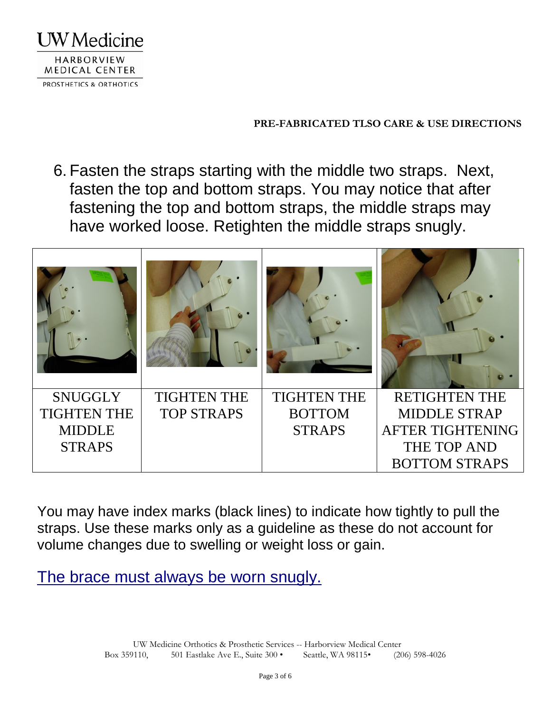

6. Fasten the straps starting with the middle two straps. Next, fasten the top and bottom straps. You may notice that after fastening the top and bottom straps, the middle straps may have worked loose. Retighten the middle straps snugly.



You may have index marks (black lines) to indicate how tightly to pull the straps. Use these marks only as a guideline as these do not account for volume changes due to swelling or weight loss or gain.

The brace must always be worn snugly.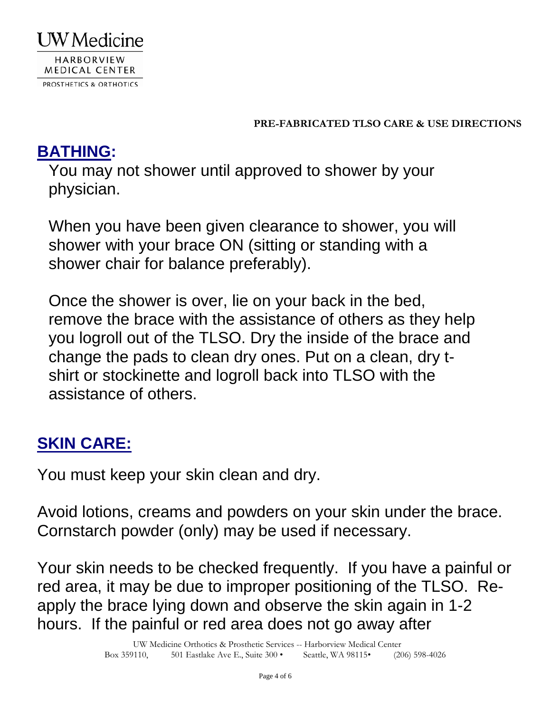

# **BATHING:**

You may not shower until approved to shower by your physician.

When you have been given clearance to shower, you will shower with your brace ON (sitting or standing with a shower chair for balance preferably).

Once the shower is over, lie on your back in the bed, remove the brace with the assistance of others as they help you logroll out of the TLSO. Dry the inside of the brace and change the pads to clean dry ones. Put on a clean, dry tshirt or stockinette and logroll back into TLSO with the assistance of others.

# **SKIN CARE:**

You must keep your skin clean and dry.

Avoid lotions, creams and powders on your skin under the brace. Cornstarch powder (only) may be used if necessary.

Your skin needs to be checked frequently. If you have a painful or red area, it may be due to improper positioning of the TLSO. Reapply the brace lying down and observe the skin again in 1-2 hours. If the painful or red area does not go away after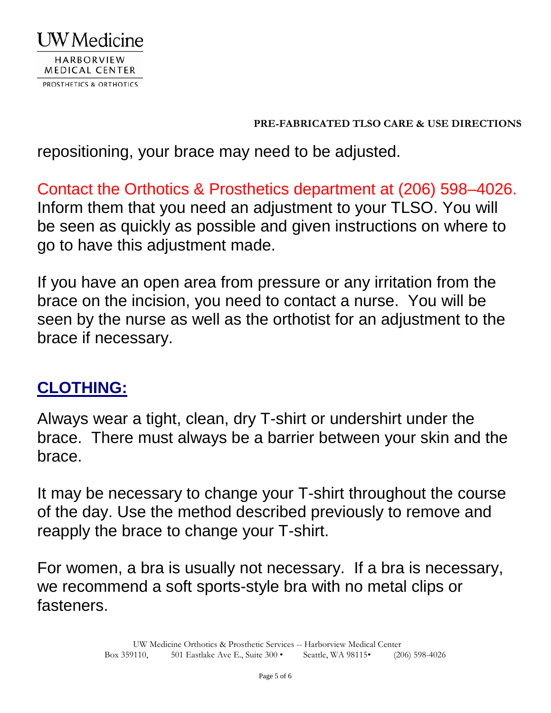

repositioning, your brace may need to be adjusted.

Contact the Orthotics & Prosthetics department at (206) 598–4026. Inform them that you need an adjustment to your TLSO. You will be seen as quickly as possible and given instructions on where to go to have this adjustment made.

If you have an open area from pressure or any irritation from the brace on the incision, you need to contact a nurse. You will be seen by the nurse as well as the orthotist for an adjustment to the brace if necessary.

# **CLOTHING:**

Always wear a tight, clean, dry T-shirt or undershirt under the brace. There must always be a barrier between your skin and the brace.

It may be necessary to change your T-shirt throughout the course of the day. Use the method described previously to remove and reapply the brace to change your T-shirt.

For women, a bra is usually not necessary. If a bra is necessary, we recommend a soft sports-style bra with no metal clips or fasteners.